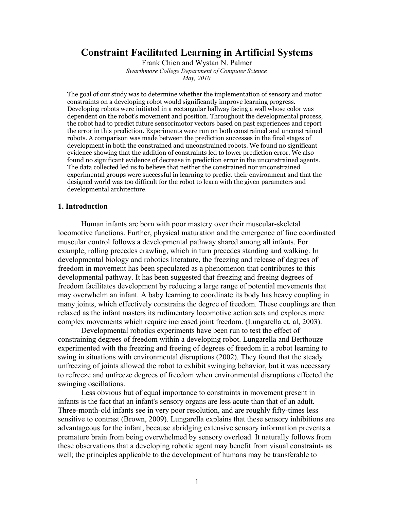# **Constraint Facilitated Learning in Artificial Systems**

Frank Chien and Wystan N. Palmer *Swarthmore College Department of Computer Science May, 2010*

The goal of our study was to determine whether the implementation of sensory and motor constraints on a developing robot would significantly improve learning progress. Developing robots were initiated in a rectangular hallway facing a wall whose color was dependent on the robot's movement and position. Throughout the developmental process, the robot had to predict future sensorimotor vectors based on past experiences and report the error in this prediction. Experiments were run on both constrained and unconstrained robots. A comparison was made between the prediction successes in the final stages of development in both the constrained and unconstrained robots. We found no significant evidence showing that the addition of constraints led to lower prediction error. We also found no significant evidence of decrease in prediction error in the unconstrained agents. The data collected led us to believe that neither the constrained nor unconstrained experimental groups were successful in learning to predict their environment and that the designed world was too difficult for the robot to learn with the given parameters and developmental architecture.

#### **1. Introduction**

Human infants are born with poor mastery over their muscular-skeletal locomotive functions. Further, physical maturation and the emergence of fine coordinated muscular control follows a developmental pathway shared among all infants. For example, rolling precedes crawling, which in turn precedes standing and walking. In developmental biology and robotics literature, the freezing and release of degrees of freedom in movement has been speculated as a phenomenon that contributes to this developmental pathway. It has been suggested that freezing and freeing degrees of freedom facilitates development by reducing a large range of potential movements that may overwhelm an infant. A baby learning to coordinate its body has heavy coupling in many joints, which effectively constrains the degree of freedom. These couplings are then relaxed as the infant masters its rudimentary locomotive action sets and explores more complex movements which require increased joint freedom. (Lungarella et. al, 2003).

Developmental robotics experiments have been run to test the effect of constraining degrees of freedom within a developing robot. Lungarella and Berthouze experimented with the freezing and freeing of degrees of freedom in a robot learning to swing in situations with environmental disruptions (2002). They found that the steady unfreezing of joints allowed the robot to exhibit swinging behavior, but it was necessary to refreeze and unfreeze degrees of freedom when environmental disruptions effected the swinging oscillations.

Less obvious but of equal importance to constraints in movement present in infants is the fact that an infant's sensory organs are less acute than that of an adult. Three-month-old infants see in very poor resolution, and are roughly fifty-times less sensitive to contrast (Brown, 2009). Lungarella explains that these sensory inhibitions are advantageous for the infant, because abridging extensive sensory information prevents a premature brain from being overwhelmed by sensory overload. It naturally follows from these observations that a developing robotic agent may benefit from visual constraints as well; the principles applicable to the development of humans may be transferable to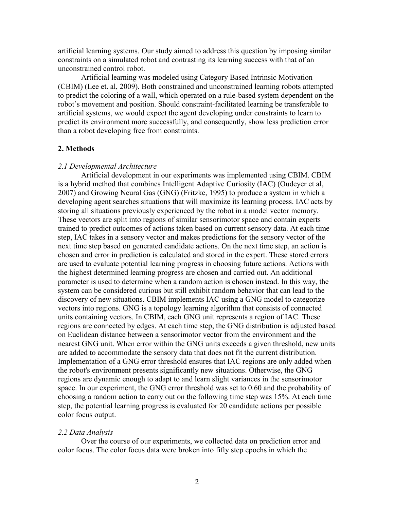artificial learning systems. Our study aimed to address this question by imposing similar constraints on a simulated robot and contrasting its learning success with that of an unconstrained control robot.

Artificial learning was modeled using Category Based Intrinsic Motivation (CBIM) (Lee et. al, 2009). Both constrained and unconstrained learning robots attempted to predict the coloring of a wall, which operated on a rule-based system dependent on the robot's movement and position. Should constraint-facilitated learning be transferable to artificial systems, we would expect the agent developing under constraints to learn to predict its environment more successfully, and consequently, show less prediction error than a robot developing free from constraints.

# **2. Methods**

#### *2.1 Developmental Architecture*

Artificial development in our experiments was implemented using CBIM. CBIM is a hybrid method that combines Intelligent Adaptive Curiosity (IAC) (Oudeyer et al, 2007) and Growing Neural Gas (GNG) (Fritzke, 1995) to produce a system in which a developing agent searches situations that will maximize its learning process. IAC acts by storing all situations previously experienced by the robot in a model vector memory. These vectors are split into regions of similar sensorimotor space and contain experts trained to predict outcomes of actions taken based on current sensory data. At each time step, IAC takes in a sensory vector and makes predictions for the sensory vector of the next time step based on generated candidate actions. On the next time step, an action is chosen and error in prediction is calculated and stored in the expert. These stored errors are used to evaluate potential learning progress in choosing future actions. Actions with the highest determined learning progress are chosen and carried out. An additional parameter is used to determine when a random action is chosen instead. In this way, the system can be considered curious but still exhibit random behavior that can lead to the discovery of new situations. CBIM implements IAC using a GNG model to categorize vectors into regions. GNG is a topology learning algorithm that consists of connected units containing vectors. In CBIM, each GNG unit represents a region of IAC. These regions are connected by edges. At each time step, the GNG distribution is adjusted based on Euclidean distance between a sensorimotor vector from the environment and the nearest GNG unit. When error within the GNG units exceeds a given threshold, new units are added to accommodate the sensory data that does not fit the current distribution. Implementation of a GNG error threshold ensures that IAC regions are only added when the robot's environment presents significantly new situations. Otherwise, the GNG regions are dynamic enough to adapt to and learn slight variances in the sensorimotor space. In our experiment, the GNG error threshold was set to 0.60 and the probability of choosing a random action to carry out on the following time step was 15%. At each time step, the potential learning progress is evaluated for 20 candidate actions per possible color focus output.

# *2.2 Data Analysis*

Over the course of our experiments, we collected data on prediction error and color focus. The color focus data were broken into fifty step epochs in which the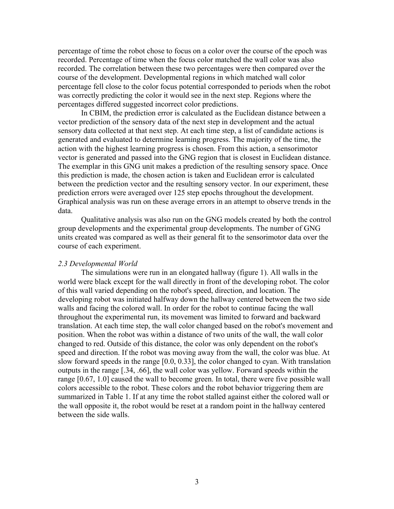percentage of time the robot chose to focus on a color over the course of the epoch was recorded. Percentage of time when the focus color matched the wall color was also recorded. The correlation between these two percentages were then compared over the course of the development. Developmental regions in which matched wall color percentage fell close to the color focus potential corresponded to periods when the robot was correctly predicting the color it would see in the next step. Regions where the percentages differed suggested incorrect color predictions.

In CBIM, the prediction error is calculated as the Euclidean distance between a vector prediction of the sensory data of the next step in development and the actual sensory data collected at that next step. At each time step, a list of candidate actions is generated and evaluated to determine learning progress. The majority of the time, the action with the highest learning progress is chosen. From this action, a sensorimotor vector is generated and passed into the GNG region that is closest in Euclidean distance. The exemplar in this GNG unit makes a prediction of the resulting sensory space. Once this prediction is made, the chosen action is taken and Euclidean error is calculated between the prediction vector and the resulting sensory vector. In our experiment, these prediction errors were averaged over 125 step epochs throughout the development. Graphical analysis was run on these average errors in an attempt to observe trends in the data.

Qualitative analysis was also run on the GNG models created by both the control group developments and the experimental group developments. The number of GNG units created was compared as well as their general fit to the sensorimotor data over the course of each experiment.

#### *2.3 Developmental World*

The simulations were run in an elongated hallway (figure 1). All walls in the world were black except for the wall directly in front of the developing robot. The color of this wall varied depending on the robot's speed, direction, and location. The developing robot was initiated halfway down the hallway centered between the two side walls and facing the colored wall. In order for the robot to continue facing the wall throughout the experimental run, its movement was limited to forward and backward translation. At each time step, the wall color changed based on the robot's movement and position. When the robot was within a distance of two units of the wall, the wall color changed to red. Outside of this distance, the color was only dependent on the robot's speed and direction. If the robot was moving away from the wall, the color was blue. At slow forward speeds in the range [0.0, 0.33], the color changed to cyan. With translation outputs in the range [.34, .66], the wall color was yellow. Forward speeds within the range [0.67, 1.0] caused the wall to become green. In total, there were five possible wall colors accessible to the robot. These colors and the robot behavior triggering them are summarized in Table 1. If at any time the robot stalled against either the colored wall or the wall opposite it, the robot would be reset at a random point in the hallway centered between the side walls.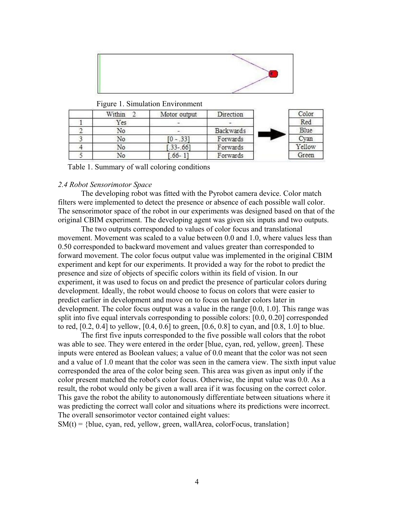

| Within | Motor output  | Direction |  | Color  |
|--------|---------------|-----------|--|--------|
| Yes    |               |           |  | Red    |
| No     | - -           | Backwards |  | Blue   |
| No     | $0 - .331$    | Forwards  |  | Cyan   |
| No     | $.33 - .66$ ] | Forwards  |  | Yellow |
| No     | $.66 - 1$     | Forwards  |  | Green  |

Figure 1. Simulation Environment

Table 1. Summary of wall coloring conditions

## *2.4 Robot Sensorimotor Space*

The developing robot was fitted with the Pyrobot camera device. Color match filters were implemented to detect the presence or absence of each possible wall color. The sensorimotor space of the robot in our experiments was designed based on that of the original CBIM experiment. The developing agent was given six inputs and two outputs.

The two outputs corresponded to values of color focus and translational movement. Movement was scaled to a value between 0.0 and 1.0, where values less than 0.50 corresponded to backward movement and values greater than corresponded to forward movement. The color focus output value was implemented in the original CBIM experiment and kept for our experiments. It provided a way for the robot to predict the presence and size of objects of specific colors within its field of vision. In our experiment, it was used to focus on and predict the presence of particular colors during development. Ideally, the robot would choose to focus on colors that were easier to predict earlier in development and move on to focus on harder colors later in development. The color focus output was a value in the range [0.0, 1.0]. This range was split into five equal intervals corresponding to possible colors: [0.0, 0.20] corresponded to red, [0.2, 0.4] to yellow, [0.4, 0.6] to green, [0.6, 0.8] to cyan, and [0.8, 1.0] to blue.

The first five inputs corresponded to the five possible wall colors that the robot was able to see. They were entered in the order [blue, cyan, red, yellow, green]. These inputs were entered as Boolean values; a value of 0.0 meant that the color was not seen and a value of 1.0 meant that the color was seen in the camera view. The sixth input value corresponded the area of the color being seen. This area was given as input only if the color present matched the robot's color focus. Otherwise, the input value was 0.0. As a result, the robot would only be given a wall area if it was focusing on the correct color. This gave the robot the ability to autonomously differentiate between situations where it was predicting the correct wall color and situations where its predictions were incorrect. The overall sensorimotor vector contained eight values:

 $SM(t) = \{blue, cyan, red, yellow, green, wallArea, colorFocus, translation\}$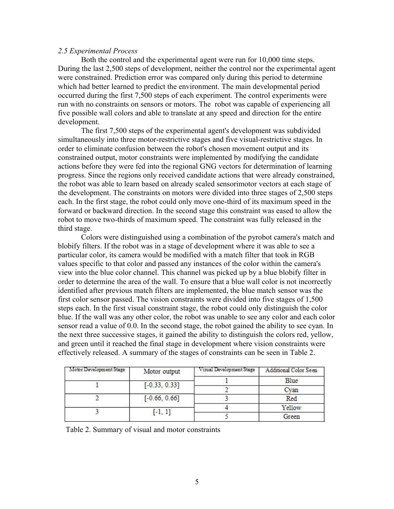# *2.5 Experimental Process*

Both the control and the experimental agent were run for 10,000 time steps. During the last 2,500 steps of development, neither the control nor the experimental agent were constrained. Prediction error was compared only during this period to determine which had better learned to predict the environment. The main developmental period occurred during the first 7,500 steps of each experiment. The control experiments were run with no constraints on sensors or motors. The robot was capable of experiencing all five possible wall colors and able to translate at any speed and direction for the entire development.

The first 7,500 steps of the experimental agent's development was subdivided simultaneously into three motor-restrictive stages and five visual-restrictive stages. In order to eliminate confusion between the robot's chosen movement output and its constrained output, motor constraints were implemented by modifying the candidate actions before they were fed into the regional GNG vectors for determination of learning progress. Since the regions only received candidate actions that were already constrained, the robot was able to learn based on already scaled sensorimotor vectors at each stage of the development. The constraints on motors were divided into three stages of 2,500 steps each. In the first stage, the robot could only move one-third of its maximum speed in the forward or backward direction. In the second stage this constraint was eased to allow the robot to move two-thirds of maximum speed. The constraint was fully released in the third stage.

Colors were distinguished using a combination of the pyrobot camera's match and blobify filters. If the robot was in a stage of development where it was able to see a particular color, its camera would be modified with a match filter that took in RGB values specific to that color and passed any instances of the color within the camera's view into the blue color channel. This channel was picked up by a blue blobify filter in order to determine the area of the wall. To ensure that a blue wall color is not incorrectly identified after previous match filters are implemented, the blue match sensor was the first color sensor passed. The vision constraints were divided into five stages of 1,500 steps each. In the first visual constraint stage, the robot could only distinguish the color blue. If the wall was any other color, the robot was unable to see any color and each color sensor read a value of 0.0. In the second stage, the robot gained the ability to see cyan. In the next three successive stages, it gained the ability to distinguish the colors red, yellow, and green until it reached the final stage in development where vision constraints were effectively released. A summary of the stages of constraints can be seen in Table 2.

| Motor Development Stage | Motor output    | Visual Development Stage | Additional Color Seen |  |
|-------------------------|-----------------|--------------------------|-----------------------|--|
|                         | $[-0.33, 0.33]$ |                          | Blue                  |  |
|                         |                 |                          | Cvan                  |  |
|                         | $[-0.66, 0.66]$ |                          | Red                   |  |
|                         |                 |                          | Yellow                |  |
|                         | $[-1, 1]$       |                          | Green                 |  |

Table 2. Summary of visual and motor constraints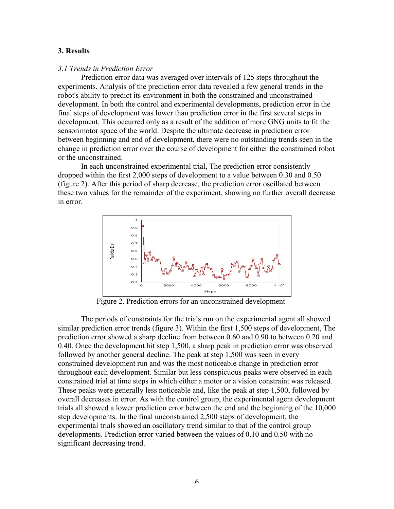# **3. Results**

#### *3.1 Trends in Prediction Error*

Prediction error data was averaged over intervals of 125 steps throughout the experiments. Analysis of the prediction error data revealed a few general trends in the robot's ability to predict its environment in both the constrained and unconstrained development. In both the control and experimental developments, prediction error in the final steps of development was lower than prediction error in the first several steps in development. This occurred only as a result of the addition of more GNG units to fit the sensorimotor space of the world. Despite the ultimate decrease in prediction error between beginning and end of development, there were no outstanding trends seen in the change in prediction error over the course of development for either the constrained robot or the unconstrained.

In each unconstrained experimental trial, The prediction error consistently dropped within the first 2,000 steps of development to a value between 0.30 and 0.50 (figure 2). After this period of sharp decrease, the prediction error oscillated between these two values for the remainder of the experiment, showing no further overall decrease in error.



Figure 2. Prediction errors for an unconstrained development

The periods of constraints for the trials run on the experimental agent all showed similar prediction error trends (figure 3). Within the first 1,500 steps of development, The prediction error showed a sharp decline from between 0.60 and 0.90 to between 0.20 and 0.40. Once the development hit step 1,500, a sharp peak in prediction error was observed followed by another general decline. The peak at step 1,500 was seen in every constrained development run and was the most noticeable change in prediction error throughout each development. Similar but less conspicuous peaks were observed in each constrained trial at time steps in which either a motor or a vision constraint was released. These peaks were generally less noticeable and, like the peak at step 1,500, followed by overall decreases in error. As with the control group, the experimental agent development trials all showed a lower prediction error between the end and the beginning of the 10,000 step developments. In the final unconstrained 2,500 steps of development, the experimental trials showed an oscillatory trend similar to that of the control group developments. Prediction error varied between the values of 0.10 and 0.50 with no significant decreasing trend.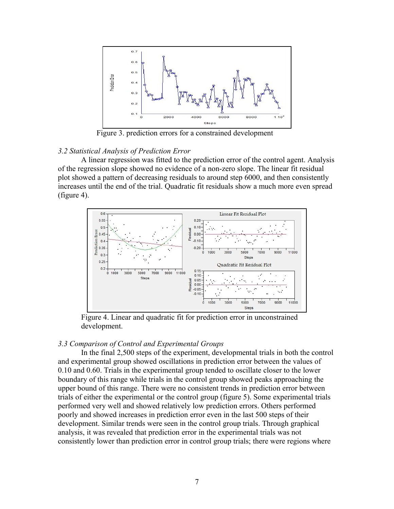

Figure 3. prediction errors for a constrained development

# *3.2 Statistical Analysis of Prediction Error*

A linear regression was fitted to the prediction error of the control agent. Analysis of the regression slope showed no evidence of a non-zero slope. The linear fit residual plot showed a pattern of decreasing residuals to around step 6000, and then consistently increases until the end of the trial. Quadratic fit residuals show a much more even spread (figure 4).



Figure 4. Linear and quadratic fit for prediction error in unconstrained development.

# *3.3 Comparison of Control and Experimental Groups*

In the final 2,500 steps of the experiment, developmental trials in both the control and experimental group showed oscillations in prediction error between the values of 0.10 and 0.60. Trials in the experimental group tended to oscillate closer to the lower boundary of this range while trials in the control group showed peaks approaching the upper bound of this range. There were no consistent trends in prediction error between trials of either the experimental or the control group (figure 5). Some experimental trials performed very well and showed relatively low prediction errors. Others performed poorly and showed increases in prediction error even in the last 500 steps of their development. Similar trends were seen in the control group trials. Through graphical analysis, it was revealed that prediction error in the experimental trials was not consistently lower than prediction error in control group trials; there were regions where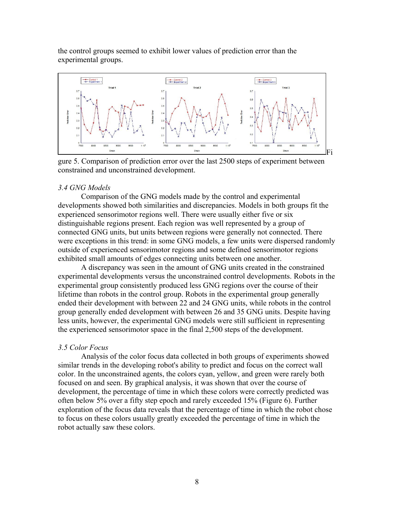the control groups seemed to exhibit lower values of prediction error than the experimental groups.



gure 5. Comparison of prediction error over the last 2500 steps of experiment between constrained and unconstrained development.

# *3.4 GNG Models*

Comparison of the GNG models made by the control and experimental developments showed both similarities and discrepancies. Models in both groups fit the experienced sensorimotor regions well. There were usually either five or six distinguishable regions present. Each region was well represented by a group of connected GNG units, but units between regions were generally not connected. There were exceptions in this trend: in some GNG models, a few units were dispersed randomly outside of experienced sensorimotor regions and some defined sensorimotor regions exhibited small amounts of edges connecting units between one another.

A discrepancy was seen in the amount of GNG units created in the constrained experimental developments versus the unconstrained control developments. Robots in the experimental group consistently produced less GNG regions over the course of their lifetime than robots in the control group. Robots in the experimental group generally ended their development with between 22 and 24 GNG units, while robots in the control group generally ended development with between 26 and 35 GNG units. Despite having less units, however, the experimental GNG models were still sufficient in representing the experienced sensorimotor space in the final 2,500 steps of the development.

# *3.5 Color Focus*

Analysis of the color focus data collected in both groups of experiments showed similar trends in the developing robot's ability to predict and focus on the correct wall color. In the unconstrained agents, the colors cyan, yellow, and green were rarely both focused on and seen. By graphical analysis, it was shown that over the course of development, the percentage of time in which these colors were correctly predicted was often below 5% over a fifty step epoch and rarely exceeded 15% (Figure 6). Further exploration of the focus data reveals that the percentage of time in which the robot chose to focus on these colors usually greatly exceeded the percentage of time in which the robot actually saw these colors.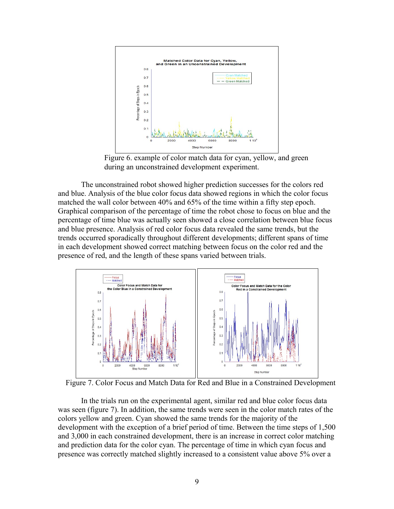

Figure 6. example of color match data for cyan, yellow, and green during an unconstrained development experiment.

The unconstrained robot showed higher prediction successes for the colors red and blue. Analysis of the blue color focus data showed regions in which the color focus matched the wall color between 40% and 65% of the time within a fifty step epoch. Graphical comparison of the percentage of time the robot chose to focus on blue and the percentage of time blue was actually seen showed a close correlation between blue focus and blue presence. Analysis of red color focus data revealed the same trends, but the trends occurred sporadically throughout different developments; different spans of time in each development showed correct matching between focus on the color red and the presence of red, and the length of these spans varied between trials.



Figure 7. Color Focus and Match Data for Red and Blue in a Constrained Development

In the trials run on the experimental agent, similar red and blue color focus data was seen (figure 7). In addition, the same trends were seen in the color match rates of the colors yellow and green. Cyan showed the same trends for the majority of the development with the exception of a brief period of time. Between the time steps of 1,500 and 3,000 in each constrained development, there is an increase in correct color matching and prediction data for the color cyan. The percentage of time in which cyan focus and presence was correctly matched slightly increased to a consistent value above 5% over a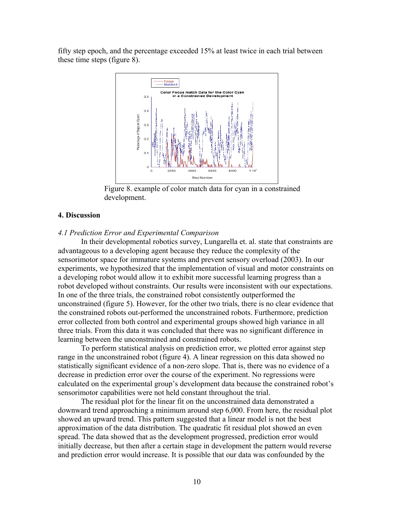fifty step epoch, and the percentage exceeded 15% at least twice in each trial between these time steps (figure 8).



Figure 8. example of color match data for cyan in a constrained development.

# **4. Discussion**

## *4.1 Prediction Error and Experimental Comparison*

In their developmental robotics survey, Lungarella et. al. state that constraints are advantageous to a developing agent because they reduce the complexity of the sensorimotor space for immature systems and prevent sensory overload (2003). In our experiments, we hypothesized that the implementation of visual and motor constraints on a developing robot would allow it to exhibit more successful learning progress than a robot developed without constraints. Our results were inconsistent with our expectations. In one of the three trials, the constrained robot consistently outperformed the unconstrained (figure 5). However, for the other two trials, there is no clear evidence that the constrained robots out-performed the unconstrained robots. Furthermore, prediction error collected from both control and experimental groups showed high variance in all three trials. From this data it was concluded that there was no significant difference in learning between the unconstrained and constrained robots.

To perform statistical analysis on prediction error, we plotted error against step range in the unconstrained robot (figure 4). A linear regression on this data showed no statistically significant evidence of a non-zero slope. That is, there was no evidence of a decrease in prediction error over the course of the experiment. No regressions were calculated on the experimental group's development data because the constrained robot's sensorimotor capabilities were not held constant throughout the trial.

The residual plot for the linear fit on the unconstrained data demonstrated a downward trend approaching a minimum around step 6,000. From here, the residual plot showed an upward trend. This pattern suggested that a linear model is not the best approximation of the data distribution. The quadratic fit residual plot showed an even spread. The data showed that as the development progressed, prediction error would initially decrease, but then after a certain stage in development the pattern would reverse and prediction error would increase. It is possible that our data was confounded by the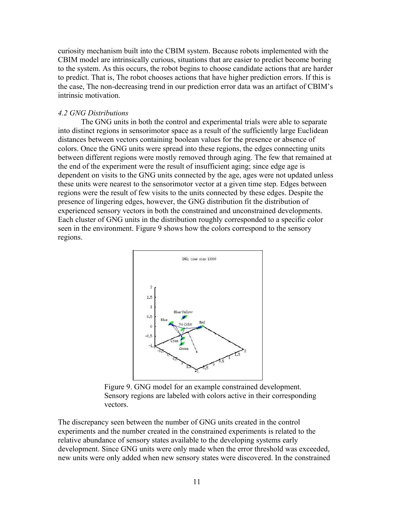curiosity mechanism built into the CBIM system. Because robots implemented with the CBIM model are intrinsically curious, situations that are easier to predict become boring to the system. As this occurs, the robot begins to choose candidate actions that are harder to predict. That is, The robot chooses actions that have higher prediction errors. If this is the case, The non-decreasing trend in our prediction error data was an artifact of CBIM's intrinsic motivation.

## *4.2 GNG Distributions*

The GNG units in both the control and experimental trials were able to separate into distinct regions in sensorimotor space as a result of the sufficiently large Euclidean distances between vectors containing boolean values for the presence or absence of colors. Once the GNG units were spread into these regions, the edges connecting units between different regions were mostly removed through aging. The few that remained at the end of the experiment were the result of insufficient aging; since edge age is dependent on visits to the GNG units connected by the age, ages were not updated unless these units were nearest to the sensorimotor vector at a given time step. Edges between regions were the result of few visits to the units connected by these edges. Despite the presence of lingering edges, however, the GNG distribution fit the distribution of experienced sensory vectors in both the constrained and unconstrained developments. Each cluster of GNG units in the distribution roughly corresponded to a specific color seen in the environment. Figure 9 shows how the colors correspond to the sensory regions.



Figure 9. GNG model for an example constrained development. Sensory regions are labeled with colors active in their corresponding vectors.

The discrepancy seen between the number of GNG units created in the control experiments and the number created in the constrained experiments is related to the relative abundance of sensory states available to the developing systems early development. Since GNG units were only made when the error threshold was exceeded, new units were only added when new sensory states were discovered. In the constrained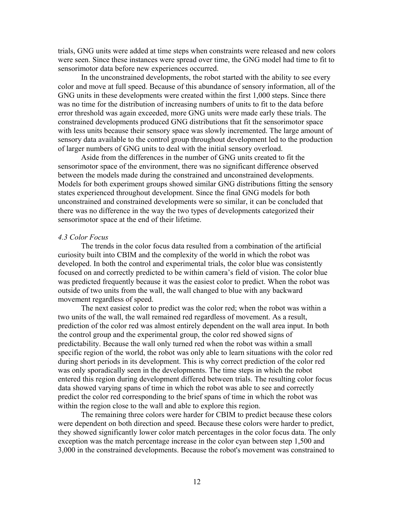trials, GNG units were added at time steps when constraints were released and new colors were seen. Since these instances were spread over time, the GNG model had time to fit to sensorimotor data before new experiences occurred.

In the unconstrained developments, the robot started with the ability to see every color and move at full speed. Because of this abundance of sensory information, all of the GNG units in these developments were created within the first 1,000 steps. Since there was no time for the distribution of increasing numbers of units to fit to the data before error threshold was again exceeded, more GNG units were made early these trials. The constrained developments produced GNG distributions that fit the sensorimotor space with less units because their sensory space was slowly incremented. The large amount of sensory data available to the control group throughout development led to the production of larger numbers of GNG units to deal with the initial sensory overload.

Aside from the differences in the number of GNG units created to fit the sensorimotor space of the environment, there was no significant difference observed between the models made during the constrained and unconstrained developments. Models for both experiment groups showed similar GNG distributions fitting the sensory states experienced throughout development. Since the final GNG models for both unconstrained and constrained developments were so similar, it can be concluded that there was no difference in the way the two types of developments categorized their sensorimotor space at the end of their lifetime.

## *4.3 Color Focus*

The trends in the color focus data resulted from a combination of the artificial curiosity built into CBIM and the complexity of the world in which the robot was developed. In both the control and experimental trials, the color blue was consistently focused on and correctly predicted to be within camera's field of vision. The color blue was predicted frequently because it was the easiest color to predict. When the robot was outside of two units from the wall, the wall changed to blue with any backward movement regardless of speed.

The next easiest color to predict was the color red; when the robot was within a two units of the wall, the wall remained red regardless of movement. As a result, prediction of the color red was almost entirely dependent on the wall area input. In both the control group and the experimental group, the color red showed signs of predictability. Because the wall only turned red when the robot was within a small specific region of the world, the robot was only able to learn situations with the color red during short periods in its development. This is why correct prediction of the color red was only sporadically seen in the developments. The time steps in which the robot entered this region during development differed between trials. The resulting color focus data showed varying spans of time in which the robot was able to see and correctly predict the color red corresponding to the brief spans of time in which the robot was within the region close to the wall and able to explore this region.

The remaining three colors were harder for CBIM to predict because these colors were dependent on both direction and speed. Because these colors were harder to predict, they showed significantly lower color match percentages in the color focus data. The only exception was the match percentage increase in the color cyan between step 1,500 and 3,000 in the constrained developments. Because the robot's movement was constrained to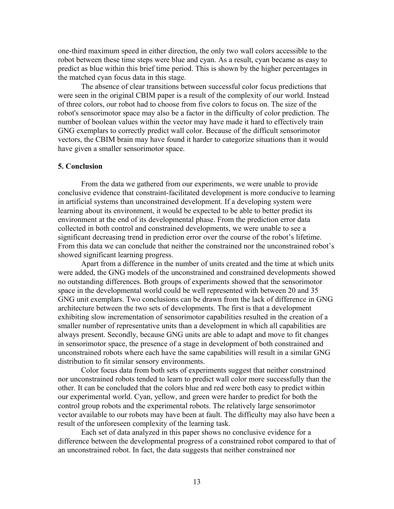one-third maximum speed in either direction, the only two wall colors accessible to the robot between these time steps were blue and cyan. As a result, cyan became as easy to predict as blue within this brief time period. This is shown by the higher percentages in the matched cyan focus data in this stage.

The absence of clear transitions between successful color focus predictions that were seen in the original CBIM paper is a result of the complexity of our world. Instead of three colors, our robot had to choose from five colors to focus on. The size of the robot's sensorimotor space may also be a factor in the difficulty of color prediction. The number of boolean values within the vector may have made it hard to effectively train GNG exemplars to correctly predict wall color. Because of the difficult sensorimotor vectors, the CBIM brain may have found it harder to categorize situations than it would have given a smaller sensorimotor space.

#### **5. Conclusion**

From the data we gathered from our experiments, we were unable to provide conclusive evidence that constraint-facilitated development is more conducive to learning in artificial systems than unconstrained development. If a developing system were learning about its environment, it would be expected to be able to better predict its environment at the end of its developmental phase. From the prediction error data collected in both control and constrained developments, we were unable to see a significant decreasing trend in prediction error over the course of the robot's lifetime. From this data we can conclude that neither the constrained nor the unconstrained robot's showed significant learning progress.

Apart from a difference in the number of units created and the time at which units were added, the GNG models of the unconstrained and constrained developments showed no outstanding differences. Both groups of experiments showed that the sensorimotor space in the developmental world could be well represented with between 20 and 35 GNG unit exemplars. Two conclusions can be drawn from the lack of difference in GNG architecture between the two sets of developments. The first is that a development exhibiting slow incrementation of sensorimotor capabilities resulted in the creation of a smaller number of representative units than a development in which all capabilities are always present. Secondly, because GNG units are able to adapt and move to fit changes in sensorimotor space, the presence of a stage in development of both constrained and unconstrained robots where each have the same capabilities will result in a similar GNG distribution to fit similar sensory environments.

Color focus data from both sets of experiments suggest that neither constrained nor unconstrained robots tended to learn to predict wall color more successfully than the other. It can be concluded that the colors blue and red were both easy to predict within our experimental world. Cyan, yellow, and green were harder to predict for both the control group robots and the experimental robots. The relatively large sensorimotor vector available to our robots may have been at fault. The difficulty may also have been a result of the unforeseen complexity of the learning task.

Each set of data analyzed in this paper shows no conclusive evidence for a difference between the developmental progress of a constrained robot compared to that of an unconstrained robot. In fact, the data suggests that neither constrained nor